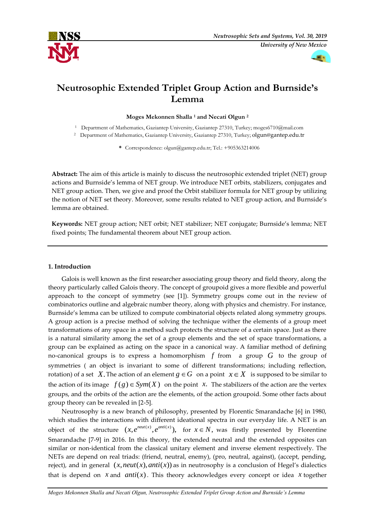



# **Neutrosophic Extended Triplet Group Action and Burnside's Lemma**

**Moges Mekonnen Shalla <sup>1</sup> and Necati Olgun <sup>2</sup>**

<sup>1</sup> Department of Mathematics, Gaziantep University, Gaziantep 27310, Turkey; moges6710@mail.com

<sup>2</sup> Department of Mathematics, Gaziantep University, Gaziantep 27310, Turkey; olgun@gantep.edu.tr

**\*** Correspondence: olgun@gantep.edu.tr; Tel.: +905363214006

**Abstract:** The aim of this article is mainly to discuss the neutrosophic extended triplet (NET) group actions and Burnside's lemma of NET group. We introduce NET orbits, stabilizers, conjugates and NET group action. Then, we give and proof the Orbit stabilizer formula for NET group by utilizing the notion of NET set theory. Moreover, some results related to NET group action, and Burnside's lemma are obtained.

**Keywords:** NET group action; NET orbit; NET stabilizer; NET conjugate; Burnside's lemma; NET fixed points; The fundamental theorem about NET group action.

### **1. Introduction**

Galois is well known as the first researcher associating group theory and field theory, along the theory particularly called Galois theory. The concept of groupoid gives a more flexible and powerful approach to the concept of symmetry (see [1]). Symmetry groups come out in the review of combinatorics outline and algebraic number theory, along with physics and chemistry. For instance, Burnside's lemma can be utilized to compute combinatorial objects related along symmetry groups. A group action is a precise method of solving the technique wither the elements of a group meet transformations of any space in a method such protects the structure of a certain space. Just as there is a natural similarity among the set of a group elements and the set of space transformations, a group can be explained as acting on the space in a canonical way. A familiar method of defining no-canonical groups is to express a homomorphism  $f$  from  $\,$  a group  $\,G\,$  to the group of symmetries ( an object is invariant to some of different transformations; including reflection, rotation) of a set X. The action of an element  $g \in G$  on a point  $x \in X$  is supposed to be similar to the action of its image  $f(g) \in Sym(X)$  on the point x. The stabilizers of the action are the vertex groups, and the orbits of the action are the elements, of the action groupoid. Some other facts about group theory can be revealed in [2-5].

Neutrosophy is a new branch of philosophy, presented by Florentic Smarandache [6] in 1980, which studies the interactions with different ideational spectra in our everyday life. A NET is an object of the structure  $(x, e^{neut(x)}, e^{anti(x)})$ , for  $x \in N$ , was firstly presented by Florentine Smarandache [7-9] in 2016. In this theory, the extended neutral and the extended opposites can similar or non-identical from the classical unitary element and inverse element respectively. The NETs are depend on real triads: (friend, neutral, enemy), (pro, neutral, against), (accept, pending, reject), and in general  $(x, neut(x),anti(x))$  as in neutrosophy is a conclusion of Hegel's dialectics that is depend on  $x$  and  $anti(x)$ . This theory acknowledges every concept or idea  $x$  together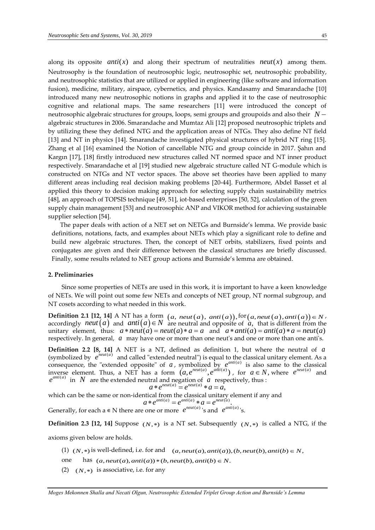along its opposite *anti*(*x*) and along their spectrum of neutralities *neut*(*x*) among them. Neutrosophy is the foundation of neutrosophic logic, neutrosophic set, neutrosophic probability, and neutrosophic statistics that are utilized or applied in engineering (like software and information fusion), medicine, military, airspace, cybernetics, and physics. Kandasamy and Smarandache [10] introduced many new neutrosophic notions in graphs and applied it to the case of neutrosophic cognitive and relational maps. The same researchers [11] were introduced the concept of neutrosophic algebraic structures for groups, loops, semi groups and groupoids and also their *N* algebraic structures in 2006. Smarandache and Mumtaz Ali [12] proposed neutrosophic triplets and by utilizing these they defined NTG and the application areas of NTGs. They also define NT field [13] and NT in physics [14]. Smarandache investigated physical structures of hybrid NT ring [15]. Zhang et al [16] examined the Notion of cancellable NTG and group coincide in 2017. Şahın and Kargın [17], [18] firstly introduced new structures called NT normed space and NT inner product respectively. Smarandache et al [19] studied new algebraic structure called NT G-module which is constructed on NTGs and NT vector spaces. The above set theories have been applied to many different areas including real decision making problems [20-44]. Furthermore, Abdel Basset et al applied this theory to decision making approach for selecting supply chain sustainability metrics [48], an approach of TOPSIS technique [49, 51], iot-based enterprises [50, 52], calculation of the green supply chain management [53] and neutrosophic ANP and VIKOR method for achieving sustainable supplier selection [54].

 The paper deals with action of a NET set on NETGs and Burnside's lemma. We provide basic definitions, notations, facts, and examples about NETs which play a significant role to define and build new algebraic structures. Then, the concept of NET orbits, stabilizers, fixed points and conjugates are given and their difference between the classical structures are briefly discussed. Finally, some results related to NET group actions and Burnside's lemma are obtained.

#### **2. Preliminaries**

Since some properties of NETs are used in this work, it is important to have a keen knowledge of NETs. We will point out some few NETs and concepts of NET group, NT normal subgroup, and NT cosets according to what needed in this work.

**Definition 2.1 [12, 14]** A NT has a form  $(a, new(a), anti(a)),$   $for(a, neut(a), anti(a)) \in N$ ,  $\alpha$  accordingly *neut* $(a)$  and  $\alpha$ *nti* $(a) \in N$  are neutral and opposite of *a*, that is different from the unitary element, thus:  $a * neut(a) = neut(a) * a = a$  and  $a * anti(a) = anti(a) * a = neut(a)$ respectively. In general*, a* may have one or more than one neut's and one or more than one anti's.

**Definition 2.2 [8, 14]** A NET is a NT, defined as definition 1, but where the neutral of *a* (symbolized by  $e^{neut(a)}$  and called "extended neutral") is equal to the classical unitary element. As a consequence, the "extended opposite" of  $a$ , symbolized by  $e^{anti(a)}$  is also same to the classical inverse element. Thus, a NET has a form  $(a, e^{neut(a)}, e^{anit(a)})$ , for  $a \in N$ , where  $e^{neut(a)}$  and  $e^{anti(a)}$  in N are the extended neutral and negation of a respectively, thus : *neut a neut a*

$$
a * e^{neut(a)} = e^{neut(a)} * a = a,
$$

which can be the same or non-identical from the classical unitary element if any and  $(a)$   $\alpha$  anti $(a)$   $\alpha$   $\alpha$   $\alpha$   $\alpha$  neut $(a)$ *anti*(*a*) *anti*(*a*) *anti*(*a*) *neut*(*a* 

$$
a * e^{a m \cdot (a)} = e^{a m \cdot (a)} * a = e^{a m \cdot (a)}.
$$

Generally, for each a  $\in$  N there are one or more  $e^{neut(a)}$  's and  $e^{anti(a)}$ 's.

**Definition 2.3 [12, 14]** Suppose  $(N, *)$  is a NT set. Subsequently  $(N, *)$  is called a NTG, if the

axioms given below are holds.

- $(1)$   $(N,*)$  is well-defined, i.e. for and  $(a, neut(a),anti(a)), (b, neut(b),anti(b) \in N,$
- one has  $(a, \text{neut}(a), \text{anti}(a)) * (b, \text{neut}(b), \text{anti}(b) \in N$ .
- $(2)$   $(N,*)$  is associative, i.e. for any

*Moges Mekonnen Shalla and Necati Olgun, Neutrosophic Extended Triplet Group Action and Burnside's Lemma*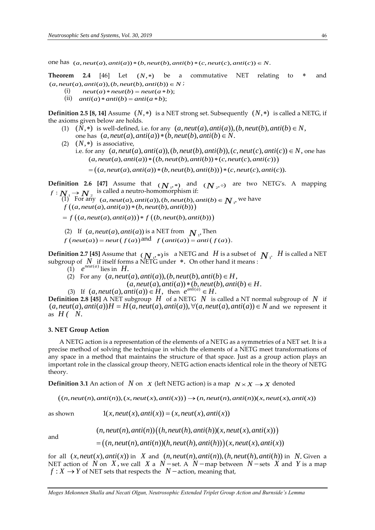one has  $(a, neut(a),anti(a)) * (b, neut(b), anti(b) * (c, neut(c), anti(c)) \in N$ .

**Theorem 2.4** [46] Let  $(N, *)$ be a commutative NET relating to × and **Theorem 2.4** [46] Let  $(N, *)$  be a  $(a, neut(a),anti(a)), (b, neut(b),anti(b)) \in N;$ 

- (i)  $neut(a) * neut(b) = neut(a * b);$
- (ii)  $anti(a) * anti(b) = anti(a * b);$

**Definition 2.5 [8, 14]** Assume  $(N,*)$  is a NET strong set. Subsequently  $(N,*)$  is called a NETG, if the axioms given below are holds.

- (1)  $(N,*)$  is well-defined, i.e. for any  $(a,neut(a),anti(a)), (b,neut(b),anti(b) \in N,$  $one$  has  $(a, neut(a),anti(a)) * (b, neut(b),anti(b)) \in N$ .
- $(N,*)$  is associative, i.e. for any  $(a,neut(a),anti(a)), (b,neut(b),anti(b)), (c,neut(c),anti(c)) \in N$ , one has  $(a,neut(a),anti(a)) * ((b,neut(b),anti(b)) * (c,neut(c),anti(c)))$  $= ((a,neut(a),anti(a))*(b,neut(b),anti(b))) * (c,neut(c),anti(c)).$

**Definition 2.6 [47]** Assume that  $(N_1, *)$  and  $(N_2, \circ)$  are two NETG's. A mapping  $f: \mathbb{N}_1 \to \mathbb{N}_2$  is called a neutro-homomorphism if:

(1) For any  $(a,neut(a),anti(a)), (b,neut(b),anti(b) \in N$ , we have  $f((a,neut(a),anti(a))*(b,neut(b),anti(b)))$ 

 $= f((a, neut(a),anti(a))) * f((b, neut(b),anti(b)))$ 

(2) If  $(a, neut(a),anti(a))$  is a NET from  $N<sub>1</sub>$ , Then

 $f\left(\text{neut}(a)\right) = \text{neut}\left(f(a)\right)$  and  $f\left(\text{anti}(a)\right) = \text{anti}\left(f(a)\right)$ .

**Definition 2.7 [45]** Assume that  $(N, *)$  is a NETG and  $H$  is a subset of  $N_1$ .  $H$  is called a NET subgroup of  $|N|$  if itself forms a NETG under  $*$ . On other hand it means :

(1)  $e^{neut(a)}$  lies in  $H$ .

(2) For any  $(a, \text{neut}(a), \text{anti}(a)), (b, \text{neut}(b), \text{anti}(b) \in H$ ,

 $(a, \textit{neut}(a), \textit{anti}(a)) * (b, \textit{neut}(b), \textit{anti}(b) \in H$ .

(3) If  $(a, \text{neut}(a), \text{anti}(a)) \in H$ , then  $e^{\text{anti}(a)} \in H$ .

**Definition 2.8 [45]** A NET subgroup  $|H|$  of a NETG  $|N|$  is called a NT normal subgroup of  $|N|$  if  $(a,neut(a),anti(a))H = H(a,neut(a),anti(a)), \forall (a,neut(a),anti(a)) \in N$  and we represent it as  $H($   $N$ .

#### **3. NET Group Action**

 A NETG action is a representation of the elements of a NETG as a symmetries of a NET set. It is a precise method of solving the technique in which the elements of a NETG meet transformations of any space in a method that maintains the structure of that space. Just as a group action plays an important role in the classical group theory, NETG action enacts identical role in the theory of NETG theory.

**Definition 3.1** An action of  $N$  on  $X$  (left NETG action) is a map  $N \times X \rightarrow X$  denoted

 $((n,neut(n),anti(n)),(x,neut(x),anti(x))) \rightarrow (n,neut(n),anti(n))(x,neut(x),anti(x))$ 

as shown

 $(n,neut(n),anti(n))\bigl((h,neut(h),anti(h))(x,neut(x),anti(x))\bigr)$ 

 $1(x, \text{neut}(x), \text{anti}(x)) = (x, \text{neut}(x), \text{anti}(x))$ 

and

 $=\bigl((n,neut(n),anti(n))(h,neut(h),anti(h))\bigr)(x,neut(x),anti(x))$ 

for all  $(x,neut(x),anti(x))$  in X and  $(n,neut(n),anti(n)),(h,neut(h),anti(h))$  in N. Given a NET action of  $N$  on  $X$ , we call  $X$  a  $N$  – set. A  $N$  – map between  $N$  – sets  $X$  and  $Y$  is a map  $f: X \rightarrow Y$  of NET sets that respects the  $\;N-$ action, meaning that,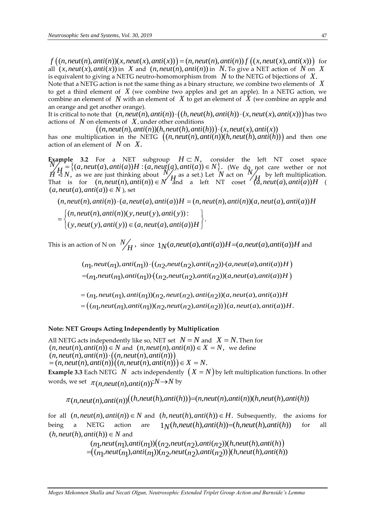$f((n,neut(n),anti(n))(x,neut(x),anti(x)))=(n,neut(n),anti(n))f((x,neut(x),anti(x)))$  for all  $(x, \text{neut}(x), \text{anti}(x))$  in X and  $(n, \text{neut}(n), \text{anti}(n))$  in N. To give a NET action of N on X is equivalent to giving a NETG neutro-homomorphism from  $\,$   $N$  to the NETG of bijections of  $\,$   $X.$ 

Note that a NETG action is not the same thing as a binary structure, we combine two elements of *X* to get a third element of  $\,X$  (we combine two apples and get an apple). In a NETG action, we combine an element of  $\,N\,$  with an element of  $\,X$  to get an element of  $\,X$  (we combine an apple and an orange and get another orange).

It is critical to note that  $(n,neut(n),anti(n)) \cdot ((h,neut(h),anti(h)) \cdot (x,neut(x),anti(x)))$  has two actions of *N* on elements of *X*. under other conditions

 $((n,neut(n),anti(n))(h,neut(h),anti(h))) \cdot (x,neut(x),anti(x))$ 

has one multiplication in the NETG  $((n,neut(n),anti(n))(h,neut(h),anti(h)))$  and then one action of an element of  $|N|$  on  $|X|$ .

**Example 3.2** For a NET subgroup  $H \subset N$ , consider the left NT coset space  $N \neq H = \{(a, neut(a),anti(a))H : (a, neut(a),anti(a)) \in N\}$ . (We do not care wether or not  $H \triangleleft N$ , as we are just thinking about  $N$  $H$ <sup>as a set.) Let  $N$  act on  $N$ </sup>  $H$  by left multiplication.  $H \triangleleft N$ , as we are just thinking about  $M_H$  as a set.) Let *N* act on  $M_H$  by left multiplication.<br>That is for  $(n,neut(n),anti(n)) \in N$  and a left NT coset  $(a,neut(a),anti(a))H$  $(a, neut(a), anti(a)) \in N$  ), set

$$
(n,neut(n),anti(n)) \cdot (a,neut(a),anti(a))H = (n,neut(n),anti(n))(a,neut(a),anti(a))H
$$
  
= 
$$
\begin{cases} (n,neut(n),anti(n))(y,neut(y),anti(y)) : \\ (y,neut(y),anti(y)) \in (a,neut(a),anti(a))H \end{cases}
$$

This is an action of N on  $N$  $\mathcal{H}_H$ , since  $1_N(a,neut(a),anti(a))H = (a,neut(a),anti(a))H$  and

> $(n_1,neut(n_1),anti(n_1))\cdot ((n_2,neut(n_2),anti(n_2))\cdot (a,neut(a),anti(a))H\big)$  $=(n_1,neut(n_1),anti(n_1))\cdot ((n_2,neut(n_2),anti(n_2))(a,neut(a),anti(a))H)$  $=((n_1,neut(n_1),anti(n_1))(n_2,neut(n_2),anti(n_2)))(a,neut(a),anti(a))H.$  $=(n<sub>1</sub>,neut(n<sub>1</sub>),anti(n<sub>1</sub>))(n<sub>2</sub>,neut(n<sub>2</sub>),anti(n<sub>2</sub>))(a,neut(a),anti(a))H$

#### **Note: NET Groups Acting Independently by Multiplication**

All NETG acts independently like so, NET set  $N = N$  and  $X = N$ . Then for All NETG acts independently like so, NET set  $N = N$  and  $X = N$ . Then for  $(n,neut(n),anti(n)) \in N$  and  $(n,neut(n),anti(n)) \in X = N$ , we define  $(n, neut(n),anti(n))$   $\cdot ((n, neut(n),anti(n)))$  $=(n, neut(n),anti(n))((n, neut(n),anti(n))) \in X = N.$ **Example 3.3** Each NETG  $N$  acts independently  $(X = N)$  by left multiplication functions. In other words, we set  $\pi_{(n,neut(n),anti(n))}{:}N{\to}N$  by

 $\pi(n,neut(n),anti(n))$  $((h,neut(h),anti(h)))=(n,neut(n),anti(n))(h,neut(h),anti(h))$ 

for all  $(n,neut(n),anti(n)) \in N$  and  $(h,neut(h),anti(h)) \in H$ . Subsequently, the axioms for being a NETG action are  $1<sub>N</sub>(h,neut(h),anti(h))=(h,neut(h),anti(h))$ for all  $(h, \text{neut}(h), \text{anti}(h)) \in N$  and

> $(n_1,neut(n_1),anti(n_1))((n_2,neut(n_2),anti(n_2))(h,neut(h),anti(h))$  $=(\overbrace{(n_1,neut(n_1),anti(n_1))}^{T}(n_2,neut(n_2),anti(n_2)))(h,neut(h),anti(h))$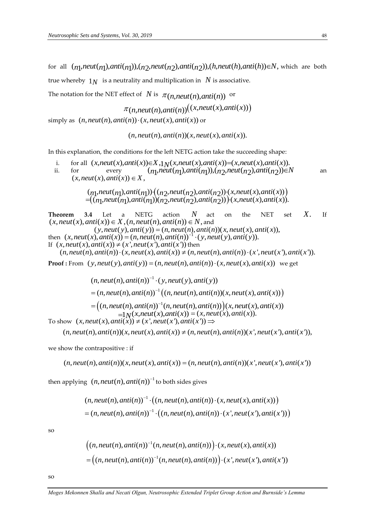simply as  $(r)$ 

for all  $(n_1,neut(n_1),anti(n_1)),(n_2,neut(n_2),anti(n_2)),(h,neut(h),anti(h))\in N$ , which are both true whereby  $\; 1_N\;$  is a neutrality and multiplication in  $\;N$  is associative.

The notation for the NET effect of  $N$  is  $\pi(n,neut(n),anti(n))$  or

$$
\pi(n,neut(n),anti(n))((x,neut(x),anti(x)))
$$
  
(n,neut(n),anti(n))·(x,neut(x),anti(x)) or

 $(n, \text{neut}(n), \text{anti}(n))$  $(x, \text{neut}(x), \text{anti}(x))$ .

In this explanation, the conditions for the left NETG action take the succeeding shape:

i. for all (*n*, *neu*(*n*), *anti*(*n*))(*x*, *neu*(*x*), *anti*(*x*)).<br>
ion, the conditions for the left NETG action take the succeeding shape:<br>  $(x,neut(x),anti(x))\in X, 1_N(x,neut(x),anti(x))=(x,neut(x),anti(x))$ .<br>
every  $(n,neut(n),anti(n))$ .  $(n,neut(n), anti(n))\in$ ii. for every  $(n_1, \text{neut}(n_1), \text{anti}(n_1)), (n_2, \text{neut}(n_2), \text{anti}(n_2)) \in \mathbb{N}$ an  $(x, \text{neut}(x), \text{anti}(x)) \in X$ .

> $(n_1, \text{neut}(n_1), \text{anti}(n_1)) \cdot ((n_2, \text{neut}(n_2), \text{anti}(n_2)) \cdot (x, \text{neut}(x), \text{anti}(x)))$  $=(\overline{(n_1)}\cdot \overline{n}eut(n_1)\cdot \overline{n}t\cdot \overline{n_1})\cdot \overline{n_2}\cdot \overline{n}eut(n_2)\cdot \overline{n}t\cdot \overline{n_2})\cdot (x,neut(x),anti(x)).$

**Theorem 3.4** Let a NETG action *N* act on the NET set *X*. If  $(x, neut(x),anti(x)) \in X, (n, neut(n),anti(n)) \in N$ , and  $(y, neut(y),anti(y)) = (n, neut(n), anti(n))(x, neut(x), anti(x)),$ then  $(x, neut(x), anti(x)) = (n, neut(n), anti(n))^{-1} \cdot (y, neut(y), anti(y)).$ If  $(x, \text{neut}(x), \text{anti}(x)) \neq (x', \text{neut}(x'), \text{anti}(x'))$  then  $(n, neutr(n), anti(n)) \cdot (x, neutr(x), anti(x)) \neq (n, neutr(n), anti(n)) \cdot (x', neutr(x'), anti(x')).$ 

**Proof**: From  $(y,neut(y),anti(y)) = (n,neut(n),anti(n)) \cdot (x,neut(x),anti(x))$  we get

 $=(n,neut(n),anti(n))^{-1}((n,neut(n),anti(n))(x,neut(x),anti(x)))$  $(n,neut(n),anti(n))$ <sup>-1</sup> ·  $(y,neut(y),anti(y))$  $=\Big((n,neut(n),anti(n))^{-1}(n,neut(n),anti(n))\Big)(x,neut(x),anti(x))$  $\mathbf{I}_1(x) = 1 \mathcal{I}_2(x)$ ,  $\mathbf{I}_3(x) = \mathcal{I}_4(x)$ ,  $\mathbf{I}_4(x) = \mathcal{I}_5(x)$ ,  $\mathcal{I}_5(x) = \mathcal{I}_6(x)$ ,  $\mathcal{I}_7(x) = \mathcal{I}_7(x)$ ,  $\mathcal{I}_8(x) = \mathcal{I}_7(x)$ ,  $\mathcal{I}_8(x) = \mathcal{I}_8(x)$ ,  $\mathcal{I}_9(x) = \mathcal{I}_9(x)$ ,  $\mathcal{I}_9(x) = \mathcal{I}_9(x)$ ,  $\mathcal{I}_9(x) = \$  $= ((n,neut(n),anti(n))^{-1}(n,neut(n),anti(n)))$ <br>  $=1$ N(x,neut(x),anti(x)) = (x,neut(x),<br>
To show (x,neut(x),anti(x))  $\neq$  (x',neut(x'),anti(x'))  $\Rightarrow$  $(n,neut(n),anti(n))(x,neut(x),anti(x)) \neq (n,neut(n),anti(n))(x',neut(x'),anti(x')),$ 

we show the contrapositive : if

 $(n,neut(n),anti(n))(x,neut(x),anti(x)) = (n,neut(n),anti(n))(x',neut(x'),anti(x'))$ 

then applying  $(n,neut(n),anti(n))$ <sup>-1</sup> to both sides gives

$$
(n,neut(n),anti(n))^{-1} \cdot ((n,neut(n),anti(n)) \cdot (x,neut(x),anti(x)))
$$
  
=  $(n,neut(n),anti(n))^{-1} \cdot ((n,neut(n),anti(n)) \cdot (x',neut(x'),anti(x')))$ 

so

$$
((n,neut(n),anti(n))^{-1}(n,neut(n),anti(n))) \cdot (x,neut(x),anti(x))
$$

$$
= ((n,neut(n),anti(n))^{-1}(n,neut(n),anti(n))) \cdot (x',neut(x'),anti(x'))
$$

so

*Moges Mekonnen Shalla and Necati Olgun, Neutrosophic Extended Triplet Group Action and Burnside's Lemma*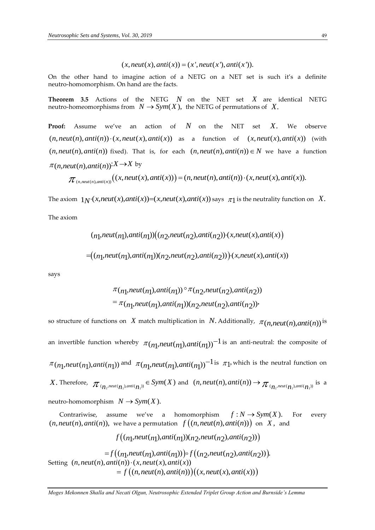$$
(x, neut(x),anti(x)) = (x', neut(x'),anti(x')).
$$

On the other hand to imagine action of a NETG on a NET set is such it's a definite neutro-homomorphism. On hand are the facts.

**Theorem 3.5** Actions of the NETG  $N$  on the NET set  $X$  are identical NETG neutro-homeomorphisms from  $N \to Sym(X)$ , the NETG of permutations of  $X$ .

**Proof:** Assume we've an action of *N* on the NET set *X*. We observe  $(n,neut(n),anti(n)) \cdot (x,neut(x),anti(x))$  as a function of  $(x,neut(x),anti(x))$  (with  $(n, neut(n), anti(n))$  fixed). That is, for each  $(n, neut(n), anti(n)) \in N$  we have a function  $\pi(n,neut(n),anti(n))$ :  $X \rightarrow X$  by

$$
\pi_{(n,neut(n),anti(n))}((x,neut(x),anti(x)))=(n,neut(n),anti(n))\cdot(x,neut(x),anti(x)).
$$

The axiom  $1_N \cdot (x, neutr(x), anti(x)) = (x, neutr(x), anti(x))$  says  $\pi_1$  is the neutrality function on  $X$ .

The axiom

$$
(n_1,neut(n_1),anti(n_1))((n_2,neut(n_2),anti(n_2))\cdot(x,neut(x),anti(x))
$$

$$
=((n_1,neut(n_1),anti(n_1))(n_2,neut(n_2),anti(n_2))\cdot(x,neut(x),anti(x))
$$

says

$$
\pi_{n_1,neut(n_1),anti(n_1))} \circ \pi_{n_2,neut(n_2),anti(n_2))}
$$
  
= 
$$
\pi_{n_1,neut(n_1),anti(n_1))(n_2,neut(n_2),anti(n_2))}
$$
,

Co. the other band to impair  $\alpha_{\text{N}}(M,Im\theta)(\lambda) = (\lambda_{\text{N}}(M,Im\theta)(\lambda))$ <br>
Co. the other band to impaire action of a NETG on a NET set is such it's a<br>
reature-bomomorphism. On hand are the facts.<br>
Theorem a 3 - NET set is such so structure of functions on X match multiplication in N. Additionally,  $\pi(n,neut(n),anti(n))$  is an invertible function whereby  $\pi_{(n]},neut(n),anti(n))$ <sup>-1</sup> is an anti-neutral: the composite of  $\pi(n_1, \text{neut}(n_1), \text{anti}(n_1))$  and  $\pi(n_1, \text{neut}(n_1), \text{anti}(n_1))$  <sup>-1</sup> is  $\pi$ <sub>1</sub>, which is the neutral function on X. Therefore,  $\pi_{(n_1, \text{neut}(n_1), \text{anti}(n_1))} \in Sym(X)$  and  $(n, \text{neut}(n), \text{anti}(n)) \rightarrow \pi_{(n_1, \text{neut}(n_1), \text{anti}(n_1))}$  is a neutro-homomorphism  $N \to Sym(X)$ .

 Contrariwise, assume we've a homomorphism  $f: N \rightarrow Sym(X)$ . For every  $f\left(n, neut(n),anti(n)\right)$ , we have a permutation  $f\left(n, neut(n),anti(n)\right)$  on X, and

$$
f((n_1,neut(n_1),anti(n_1))(n_2,neut(n_2),anti(n_2)))
$$
  
=  $f((n_1,neut(n_1),anti(n_1)))\circ f((n_2,neut(n_2),anti(n_2))).$   
Setting  $(n,neut(n),anti(n))\cdot(x,neut(x),anti(x))$   
=  $f((n,neut(n),anti(n)))((x,neut(x),anti(x)))$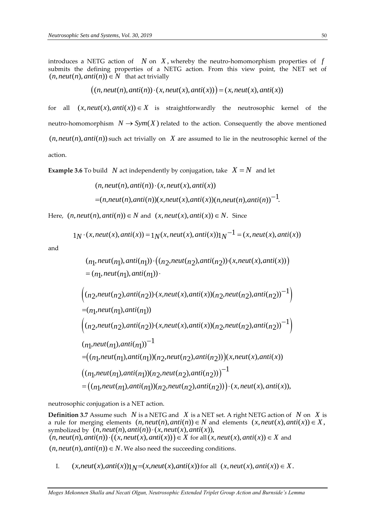introduces a NETG action of  $N$  on  $X$ , whereby the neutro-homomorphism properties of  $f$ submits the defining properties of a NETG action. From this view point, the NET set of  $(n, \textit{neut}(n), \textit{anti}(n)) \in N$  that act trivially

$$
((n,neut(n),anti(n))\cdot(x,neut(x),anti(x)))=(x,neut(x),anti(x))
$$

for all  $(x, neut(x), anti(x)) \in X$  is straightforwardly the neutrosophic kernel of the neutro-homomorphism  $N \to Sym(X)$  related to the action. Consequently the above mentioned  $(n, neut(n), anti(n))$  such act trivially on  $X$  are assumed to lie in the neutrosophic kernel of the action.

**Example 3.6** To build  $\,N\,$  act independently by conjugation, take  $\,X = N\,$  and let

$$
(n,neut(n),anti(n)) \cdot (x,neut(x),anti(x))
$$
  
= $(n,neut(n),anti(n))(x,neut(x),anti(x))(n,neut(n),anti(n))^{-1}$ .

Here,  $(n,neut(n),anti(n)) \in N$  and  $(x,neut(x),anti(x)) \in N$ . Since

$$
1_N \cdot (x, neut(x),anti(x)) = 1_N(x, neut(x), anti(x))1_N^{-1} = (x, neut(x), anti(x))
$$

and

$$
(n_1, neut(n_1), anti(n_1)) \cdot ((n_2, neut(n_2), anti(n_2)) \cdot (x, neut(x), anti(x)))
$$
\n
$$
= (n_1, neut(n_1), anti(n_1)) \cdot
$$
\n
$$
\left((n_2, neut(n_2), anti(n_2)) \cdot (x, neut(x), anti(x))(n_2, neut(n_2), anti(n_2))^{-1}\right)
$$
\n
$$
= (n_1, neut(n_1), anti(n_1))
$$
\n
$$
\left((n_2, neut(n_2), anti(n_2)) \cdot (x, neut(x), anti(x))(n_2, neut(n_2), anti(n_2))^{-1}\right)
$$
\n
$$
(n_1, neut(n_1), anti(n_1))^{-1}
$$
\n
$$
= ((n_1, neut(n_1), anti(n_1))(n_2, neut(n_2), anti(n_2)))(x, neut(x), anti(x))
$$
\n
$$
((n_1, neut(n_1), anti(n_1))(n_2, neut(n_2), anti(n_2)))^{-1}
$$
\n
$$
= ((n_1, neut(n_1), anti(n_1))(n_2, neut(n_2), anti(n_2)) \cdot (x, neut(x), anti(x)),
$$

neutrosophic conjugation is a NET action.

**Definition 3.7** Assume such  $N$  is a NETG and  $X$  is a NET set. A right NETG action of  $N$  on  $X$  is a rule for merging elements  $(n,neut(n),anti(n)) \in N$  and elements  $(x,neut(x),anti(x)) \in X$ ,<br>symbolized by  $(n,neut(n),anti(n)) \cdot (x,neut(x),anti(x)),$ <br> $(n,neut(n),anti(n)) \cdot ((x,neut(x),anti(x))) \in X$  for all  $(x,neut(x),anti(x)) \in X$  and  $symboliced by (n, neut(n), anti(n)) \cdot (x, neut(x), anti(x)),$ for all  $(x, \text{neut}(x), \text{anti}(x)) \in X$  and  $(n, neut(n), anti(n)) \in N$ . We also need the succeeding conditions.

I.  $(x,neut(x),anti(x))$  $1_N=(x,neut(x),anti(x))$  for all  $(x,neut(x),anti(x))\in X$ .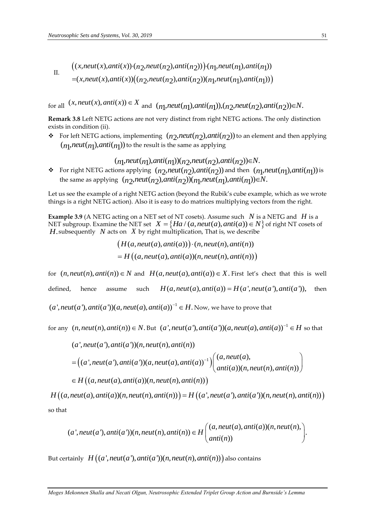II.  
\n
$$
((x,neut(x),anti(x))\cdot(n_2,neut(n_2),anti(n_2))\cdot(n_1,neut(n_1),anti(n_1))
$$
\n
$$
=(x,neut(x),anti(x))((n_2,neut(n_2),anti(n_2))(n_1,neut(n_1),anti(n_1))
$$

for all  $(x, neut(x),anti(x)) \in X$  and  $(n_1, neut(n_1),anti(n_1)), (n_2, neut(n_2),anti(n_2)) \in N$ .

**Remark 3.8** Left NETG actions are not very distinct from right NETG actions. The only distinction exists in condition (ii).

 $\cdot$  For left NETG actions, implementing  $(n_2, \text{neut}(n_2), \text{anti}(n_2))$  to an element and then applying  $(n_l$ , $neut(n_l)$ , $anti(n_l))$  to the result is the same as applying

# $(n_1, \textit{neut}(n_1), \textit{anti}(n_1))(n_2, \textit{neut}(n_2), \textit{anti}(n_2)) \in N.$

• For right NETG actions applying  $(n_2,neut(n_2),anti(n_2))$  and then  $(n_1,neut(n_1),anti(n_1))$  is the same as applying  $(n_2,neut(n_2),anti(n_2))(n_1,neut(n_1),anti(n_1)) \in N.$ 

Let us see the example of a right NETG action (beyond the Rubik's cube example, which as we wrote things is a right NETG action). Also it is easy to do matrices multiplying vectors from the right.

**Example 3.9** (A NETG acting on a NET set of NT cosets). Assume such  $N$  is a NETG and  $H$  is a NET subgroup. Examine the NET set  $X = \{Ha/(a, neut(a), anti(a)) \in N\}$  of right NT cosets of *H*. subsequently N acts on X by right multiplication, That is, we describe

> $(H(a,neut(a),anti(a))) \cdot (n,neut(n),anti(n))$  $H((a, neut(a),anti(a))(n, neut(n),anti(n)))$

for  $(n,neut(n),anti(n)) \in N$  and  $H(a,neut(a),anti(a)) \in X$ . First let's chect that this is well defined, hence assume such  $H(a, neut(a),anti(a)) = H(a', neut(a'),anti(a')),$ then 1 (*a*, *neut(a*), *anti(a*))(*a*, *neut(a*), *anti(a*))<sup>-1</sup>  $\in$  *H*. Now, we have to prove that

for any  $(n,neut(n),anti(n)) \in N$ . But  $(a',neut(a'),anti(a'))(a,neut(a),anti(a))^{-1} \in H$  so that

$$
(a',neut(a'),anti(a'))(n,neut(n),anti(n))
$$
  
= 
$$
((a',neut(a'),anti(a'))(a,neut(a),anti(a))^{-1})\begin{pmatrix} (a,neut(a),\\anti(a))(n,neut(n),anti(n)) \end{pmatrix}
$$
  

$$
\in H((a,neut(a),anti(a))(n,neut(n),anti(n)))
$$

so that  $H((a,neut(a),anti(a))(n,neut(n),anti(n))) = H((a',neut(a'),anti(a'))(n,neut(n),anti(n)))$ 

$$
(a',neut(a'),anti(a'))(n,neut(n),anti(n)) \in H\begin{pmatrix} (a,neut(a),anti(a))(n,neut(n),\\anti(n)) \end{pmatrix}.
$$

But certainly  $H\bigl((a',neut(a'),anti(a'))(n,neut(n),anti(n))\bigr)$  also contains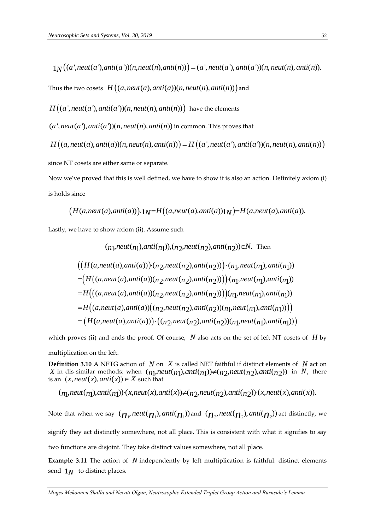$1_N((a',neut(a'),anti(a'))(n,neut(n),anti(n)))=(a',neut(a'),anti(a'))(n,neut(n),anti(n)).$ 

Thus the two cosets  $H\big((a,neut(a),anti(a))(n,neut(n),anti(n))\big)$  and

 $H\bigl((a\lq,neut(a\lq),anti(a\lq))(n,neut(n),anti(n))\bigr)$  have the elements

 $(a', \textit{neut}(a'), \textit{anti}(a'))$ ( $n, \textit{neut}(n), \textit{anti}(n))$  in common. This proves that

 $H((a,neut(a),anti(a))(n,neut(n),anti(n))) = H((a',neut(a'),anti(a'))(n,neut(n),anti(n)))$ 

since NT cosets are either same or separate.

Now we've proved that this is well defined, we have to show it is also an action. Definitely axiom (i) is holds since

$$
(H(a,neut(a),anti(a)))\cdot 1_N = H\big((a,neut(a),anti(a))1_N\big) = H(a,neut(a),anti(a)).
$$

Lastly, we have to show axiom (ii). Assume such

$$
(n_1,neut(n_1),anti(n_1)), (n_2,neut(n_2),anti(n_2)) \in N. Then
$$
  
\n
$$
((H(a,neut(a),anti(a))) \cdot (n_2,neut(n_2),anti(n_2))) \cdot (n_1,neut(n_1),anti(n_1))
$$
  
\n
$$
= (H((a,neut(a),anti(a))(n_2,neut(n_2),anti(n_2))) \cdot (n_1,neut(n_1),anti(n_1))
$$
  
\n
$$
= H(((a,neut(a),anti(a))(n_2,neut(n_2),anti(n_2)))(n_1,neut(n_1),anti(n_1)))
$$
  
\n
$$
= H((a,neut(a),anti(a))((n_2,neut(n_2),anti(n_2))(n_1,neut(n_1),anti(n_1))))
$$
  
\n
$$
= (H(a,neut(a),anti(a))) \cdot ((n_2,neut(n_2),anti(n_2))(n_1,neut(n_1),anti(n_1)))
$$

which proves (ii) and ends the proof. Of course, N also acts on the set of left NT cosets of H by

multiplication on the left.

**Definition 3.10** A NETG action of  $N$  on  $X$  is called NET faithful if distinct elements of  $N$  act on X in dis-similar methods: when  $(n_1,neut(n_1),anti(n_1))\neq(n_2,neut(n_2),anti(n_2))$  in N, there is an  $(x, neut(x),anti(x)) \in X$  such that

$$
(n_1,neut(n_1),anti(n_1)) \cdot (x,neut(x),anti(x)) \neq (n_2,neut(n_2),anti(n_2)) \cdot (x,neut(x),anti(x)).
$$

Note that when we say  $(\pmb{n}_1,neut(\pmb{n}_1),anti(\pmb{n}_1))$  and  $(\pmb{n}_2,neut(\pmb{n}_2),anti(\pmb{n}_2))$  act distinctly, we signify they act distinctly somewhere, not all place. This is consistent with what it signifies to say two functions are disjoint. They take distinct values somewhere, not all place.

**Example 3.11** The action of N independently by left multiplication is faithful: distinct elements send  $1_N$  to distinct places.

*Moges Mekonnen Shalla and Necati Olgun, Neutrosophic Extended Triplet Group Action and Burnside's Lemma*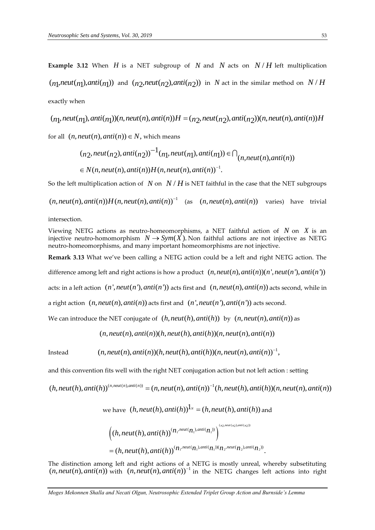**Example 3.12** When  $H$  is a NET subgroup of  $N$  and  $N$  acts on  $N/H$  left multiplication  $(n_1, \text{neut}(n_1), \text{anti}(n_1))$  and  $(n_2, \text{neut}(n_2), \text{anti}(n_2))$  in N act in the similar method on  $N/H$ exactly when ( $n_1$ , *neut*( $n_1$ ), *anti*( $n_1$ )) and ( $n_2$ , *neut*( $n_2$ ), *anti*( $n_2$ )) in N act in the similar method on N / E<br>exactly when<br>( $n_1$ , *neut*( $n_1$ ), *anti*( $n_1$ ))( $n$ , *neut*( $n$ ), *anti*( $n$ )) $H = (n_2$ , *neut*( $n_$ 

$$
(n_1,neut(n_1),anti(n_1))(n,neut(n),anti(n))H = (n_2,neut(n_2),anti(n_2))(n,neut(n),anti(n))H
$$

for all  $(n, neut(n),anti(n)) \in N$ , which means

$$
(n_2,neut(n_2),anti(n_2))^{-1}(n_1,neut(n_1),anti(n_1)) \in \bigcap_{(n,neut(n),anti(n))} \in N(n,neut(n),anti(n))H(n,neut(n),anti(n))^{-1}.
$$

So the left multiplication action of  $N$  on  $N/H$  is NET faithful in the case that the NET subgroups

$$
(n,neut(n),anti(n))H(n,neut(n),anti(n))^{-1}
$$
 (as  $(n,neut(n),anti(n))$  varies) have trivial

intersection.

Viewing NETG actions as neutro-homeomorphisms, a NET faithful action of  $N$  on  $X$  is an injective neutro-homomorphism  $N \to Sym(X)$ . Non faithful actions are not injective as NETG neutro-homeomorphisms, and many important homeomorphisms are not injective.

**Remark 3.13** What we've been calling a NETG action could be a left and right NETG action. The

difference among left and right actions is how a product  $(n,neut(n),anti(n))(n',neut(n'),anti(n'))$ 

acts: in a left action  $(n',neut(n'),anti(n'))$  acts first and  $(n,neut(n),anti(n))$  acts second, while in

a right action  $(n,neut(n),anti(n))$  acts first and  $(n',neut(n'),anti(n'))$  acts second.

We can introduce the NET conjugate of  $(h,neut(h),anti(h))$  by  $(n,neut(n),anti(n))$  as

 $(n,neut(n),anti(n))(h,neut(h),anti(h))(n,neut(n),anti(n))$ 

Instead 
$$
(n,neut(n),anti(n))(h,neut(h),anti(h))(n,neut(n),anti(n))^{-1}
$$
,

and this convention fits well with the right NET conjugation action but not left action : setting

$$
(h,neut(h),anti(h))^{(n,neut(n),anti(n))} = (n,neut(n),anti(n))^{-1}(h,neut(h),anti(h))(n,neut(n),anti(n))
$$

we have  $(h, neut(h),anti(h))$ <sup> $1_N$ </sup> =  $(h, neut(h),anti(h))$  and

$$
\begin{aligned} & \left( (h, neut(h),anti(h))^{(n_1,neut(n_1),anti(n_1))} \right)^{(n_2,neut(n_2),anti(n_2))} \\ &= (h,neut(h),anti(h))^{(n_1,neut(n_1),anti(n_1))}(n_2,neut(n_2),anti(n_2)) \end{aligned}
$$

The distinction among left and right actions of a NETG is mostly unreal, whereby subsetituting  $(n, neutr(n), anti(n))$  with  $(n, neutr(n), anti(n))$ <sup>-1</sup> in the NETG changes left actions into right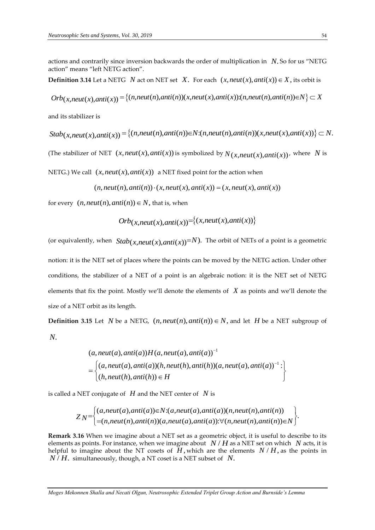actions and contrarily since inversion backwards the order of multiplication in *N*. So for us "NETG action" means "left NETG action".

**Definition 3.14** Let a NETG N act on NET set X. For each  $(x, \text{neut}(x), \text{anti}(x)) \in X$ , its orbit is

 $Orb(x, neutr(x), anti(x)) = \{(n, neutr(n), anti(n))(x, neutr(x), anti(x))$ : $(n, neutr(n), anti(n)) \in N\} \subset X$ 

and its stabilizer is

 $Stab(x, neut(x),anti(x)) = \{(n, neut(n),anti(n)) \in N: (n, neut(n),anti(n))(x, neut(x),anti(x))\} \subset N.$ 

(The stabilizer of NET  $(x,neut(x),anti(x))$  is symbolized by  $N_{(x,neut(x),anti(x))}$ , where N is

NETG.) We call  $(x, \text{neut}(x), \text{anti}(x))$  a NET fixed point for the action when

 $(n, neut(n),anti(n)) \cdot (x, neut(x),anti(x)) = (x, neut(x),anti(x))$ 

for every  $(n, neut(n), anti(n)) \in N$ , that is, when

Orb
$$
(x
$$
,neut $(x)$ ,anti $(x)$ )= $\{(x$ ,neut $(x)$ ,anti $(x)$ ) $\}$ 

(or equivalently, when  $Stab(x, neut(x),anti(x))=N$ ). The orbit of NETs of a point is a geometric

notion: it is the NET set of places where the points can be moved by the NETG action. Under other conditions, the stabilizer of a NET of a point is an algebraic notion: it is the NET set of NETG elements that fix the point. Mostly we'll denote the elements of *X* as points and we'll denote the size of a NET orbit as its length.

**Definition 3.15** Let N be a NETG,  $(n, neut(n),anti(n)) \in N$ , and let H be a NET subgroup of *N*.

$$
(a,neut(a),anti(a))H(a,neut(a),anti(a))^{-1}
$$
  
= 
$$
\begin{cases} (a,neut(a),anti(a))(h,neut(h),anti(h))(a,neut(a),anti(a))^{-1}: \\ (h,neut(h),anti(h)) \in H \end{cases}
$$

is called a NET conjugate of  $|H|$  and the NET center of  $|N|$  is

$$
ZN = \begin{cases} (a, neut(a),anti(a)) \in N:(a, neut(a),anti(a))(n, neut(n),anti(n)) \\ = (n, neut(n),anti(n))(a, neut(a),anti(a)) : \forall (n, neut(n),anti(n)) \in N \end{cases}
$$

**Remark 3.16** When we imagine about a NET set as a geometric object, it is useful to describe to its elements as points. For instance, when we imagine about  $\,N/H$  as a NET set on which  $\,N$  acts, it is helpful to imagine about the NT cosets of  $\check{H}$ , which are the elements  $N/H$ , as the points in  $N/H$ . simultaneously, though, a NT coset is a NET subset of  $N$ .

*Moges Mekonnen Shalla and Necati Olgun, Neutrosophic Extended Triplet Group Action and Burnside's Lemma*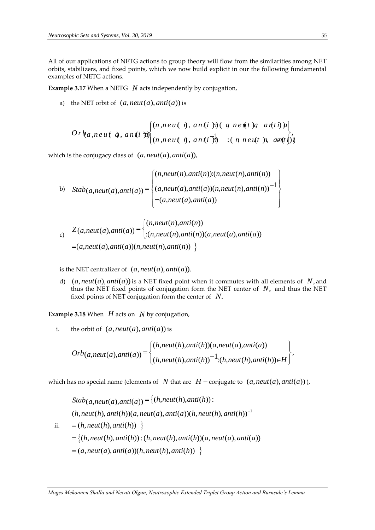All of our applications of NETG actions to group theory will flow from the similarities among NET orbits, stabilizers, and fixed points, which we now build explicit in our the following fundamental examples of NETG actions.

**Example 3.17** When a NETG *N* acts independently by conjugation,

a) the NET orbit of  $(a, neut(a),anti(a))$  is

$$
Ork_{a,neut} (a,ani \overline{b})\n\begin{cases}\n(n,neut \overline{a}),\,ani \overline{b})\n\end{cases}\n\quad n \cdot (a,neut \overline{b})\n\begin{cases}\n(n,neut \overline{a}),\,ani \overline{b})\n\end{cases}\n\quad (n,neut \overline{b}),\n\quad (n,neut \overline{b})\n\end{cases}
$$

which is the conjugacy class of  $(a, neut(a),anti(a)),$ 

b) 
$$
Stab(a,neut(a),anti(a)) = \begin{cases} (n,neut(n),anti(n)):(n,neut(n),anti(n)) \\ (a,neut(a),anti(a))(n,neut(n),anti(n))^{-1} \\ = (a,neut(a),anti(a)) \end{cases}
$$

c)  
\n
$$
Z(a,neut(a),anti(a)) = \begin{cases} (n,neut(n),anti(n)) \\ \n:(n,neut(n),anti(n))(a,neut(a),anti(a)) \n\end{cases}
$$
\n
$$
= (a,neut(a),anti(a))(n,neut(n),anti(n)) \begin{cases} (n,neut(n),anti(n)) \end{cases}
$$

is the NET centralizer of  $(a, neut(a),anti(a)).$ 

d)  $(a, neut(a),anti(a))$  is a NET fixed point when it commutes with all elements of  $N$ , and thus the NET fixed points of conjugation form the NET center of *N*, and thus the NET fixed points of NET conjugation form the center of *N*.

**Example 3.18** When *H* acts on *N* by conjugation,

i. the orbit of  $(a, \text{neut}(a), \text{anti}(a))$  is

$$
Orb(a,neut(a),anti(a)) = \begin{cases} (h,neut(h),anti(h))(a,neut(a),anti(a)) \\ (h,neut(h),anti(h))^{-1}:(h,neut(h),anti(h)) \in H \end{cases},
$$

which has no special name (elements of  $N$  that are  $H$  – conjugate to  $(a, neut(a), anti(a))$ ),

ii. 1 ( , ( ), ( )) : ( , ( ), ( )) ( , ( ), ( ))( , ( ), ( ))( , ( ), ( )) ( , ( ), ( )) ( , ( ), ( )) : ( , ( ), ( ))( , ( ), ( )) ( , ( ), ( *a neut a anti a* ))( , ( ), ( )) *h neut h anti h Stab h neut h anti h a neut a anti a h neut h anti h a neut a anti a h neut h anti h h neut h anti h h neut h anti h h neut h anti h a neut a anti a*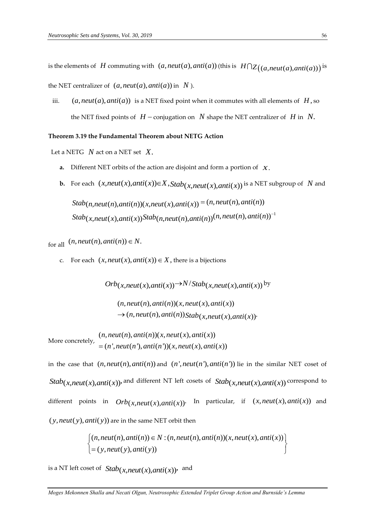is the elements of H commuting with  $(a,neut(a),anti(a))$  (this is  $|H \bigcap Z((a,neut(a),anti(a)))$  is

the NET centralizer of  $(a, neut(a),anti(a))$  in  $N$ ).

iii.  $(a, \textit{neut}(a), \textit{anti}(a))$  is a NET fixed point when it commutes with all elements of  $H$ , so the NET fixed points of  $|H - \text{conjugation on } |N|$  shape the NET centralizer of  $|H|$  in  $|N|$ .

# **Theorem 3.19 the Fundamental Theorem about NETG Action**

Let a NETG *N* act on a NET set *X*.

- **a.** Different NET orbits of the action are disjoint and form a portion of *X*.
- **b.** For each  $(x,neut(x),anti(x))\in X$ ,  $Stab(x,neut(x),anti(x))$  is a NET subgroup of N and

 $Stab(x,neut(x),anti(x))$ Stab $(n,neut(n),anti(n))$ <sup> $(n,neut(n),anti(n))$ <sup>-1</sup></sup>  $Stab(n,neut(n),anti(n))(x,neut(x),anti(x)) = (n,neut(n),anti(n))$ 

for all  $(n,neut(n),anti(n)) \in N$ .

c. For each  $(x, neut(x), anti(x)) \in X$ , there is a bijections

 $Orb(x, neut(x),anti(x)) \rightarrow N/Stab(x, neut(x),anti(x))$  by

 $(n,neut(n),anti(n))(x,neut(x),anti(x))$  $\rightarrow$   $(n,neut(n),anti(n))$ Stab $(\chi,neut(\chi),anti(\chi))$ 

More concretely,  $(n, \textit{neut}(n), \textit{anti}(n))$  $(x, \textit{neut}(x), \textit{anti}(x))$  $=(n', \text{neut}(n'), \text{anti}(n'))$  $(x, \text{neut}(x), \text{anti}(x))$ 

in the case that  $(n,neut(n),anti(n))$  and  $(n',neut(n'),anti(n'))$  lie in the similar NET coset of  $Stab(x, neut(x),anti(x))$ , and different NT left cosets of  $Stab(x, neut(x),anti(x))$  correspond to different points in  $Orb(x, neut(x),anti(x))$ . In particular, if  $(x, neut(x),anti(x))$  and  $(y, \text{neut}(y), \text{anti}(y))$  are in the same NET orbit then

$$
anti(y)) are in the same NET orbit then
$$
  
\n
$$
\begin{cases}\n(n,neut(n),anti(n)) \in N : (n,neut(n),anti(n))(x,neut(x),anti(x)) \\
= (y,neut(y),anti(y))\n\end{cases}
$$

is a NT left coset of  $Stab(x, neut(x),anti(x))$ , and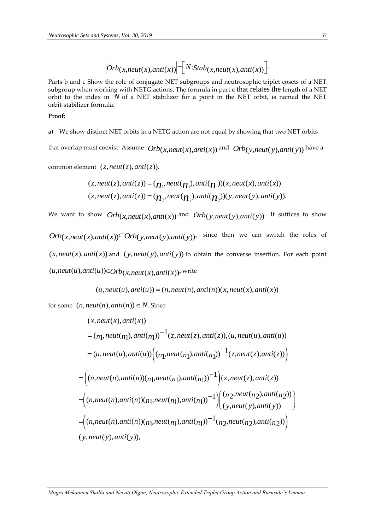$$
|Orb(x,neut(x),anti(x))|
$$
=  $[N:Stab(x,neut(x),anti(x))]$ .

Parts b and c Show the role of conjugate NET subgroups and neutrosophic triplet cosets of a NET subgroup when working with NETG actions. The formula in part c that relates the length of a NET orbit to the index in  $N$  of a NET stabilizer for a point in the NET orbit, is named the NET orbit-stabilizer formula.

#### **Proof:**

**a)** We show distinct NET orbits in a NETG action are not equal by showing that two NET orbits

that overlap must coexist. Assume  $Orb_{(x,neut(x),anti(x))}$  and  $Orb_{(y,neut(y),anti(y))}$  have a

 $z$  *c*ommon element  $(z, \textit{neut}(z), \textit{anti}(z)).$ 

$$
(z,neut(z),anti(z)) = (\boldsymbol{\eta}_1,neut(\boldsymbol{\eta}_1),anti(\boldsymbol{\eta}_1))(x,neut(x),anti(x))
$$
  

$$
(z,neut(z),anti(z)) = (\boldsymbol{\eta}_2,neut(\boldsymbol{\eta}_2),anti(\boldsymbol{\eta}_2))(y,neut(y),anti(y)).
$$

We want to show  $Orb_{(x,neut(x),anti(x))}$  and  $Orb_{(y,neut(y),anti(y))}$ . It suffices to show

 $Orb(x,neut(x),anti(x))\subset Orb(y,neut(y),anti(y))$ , since then we can switch the roles of  $(x, neut(x), anti(x))$  and  $(y, neut(y), anti(y))$  to obtain the converse insertion. For each point  $(u, \textit{neut}(u), \textit{anti}(u)) \in Orb(\chi, \textit{neut}(\chi), \textit{anti}(\chi))$ , write

 $(u,neut(u),anti(u)) = (n,neut(n),anti(n))(x,neut(x),anti(x))$ 

for some  $(n, neut(n), anti(n)) \in N$ . Since

$$
(x, neut(x), anti(x))
$$
  
=  $(n_1, neut(n_1), anti(n_1))^{-1}(z, neut(z), anti(z)), (u, neut(u), anti(u))$   
=  $(u, neut(u), anti(u)) \Big((n_1, neut(n_1), anti(n_1))^{-1}(z, neut(z), anti(z))\Big)$   
=  $\Big((n, neut(n), anti(n)) (n_1, neut(n_1), anti(n_1))^{-1}\Big)(z, neut(z), anti(z))$   
=  $\Big((n, neut(n), anti(n)) (n_1, neut(n_1), anti(n_1))^{-1}\Big) \Big((n_2, neut(n_2), anti(n_2))$   
=  $\Big((n, neut(n), anti(n)) (n_1, neut(n_1), anti(n_1))^{-1}(n_2, neut(n_2), anti(n_2))\Big)$   
=  $\Big((n, neut(v), anti(v)) (n_1, neut(n_1), anti(n_1))^{-1}(n_2, neut(n_2), anti(n_2))\Big)$   
=  $(v, neut(v), anti(v)),$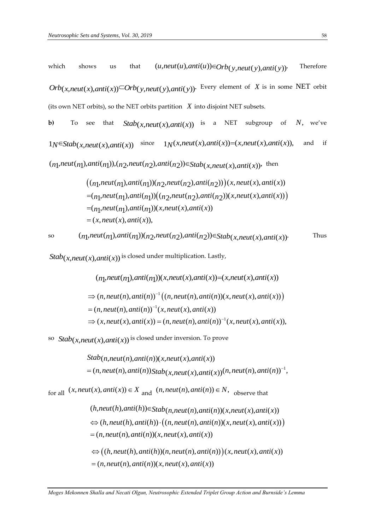which shows us that  $(u, \text{neut}(u), \text{anti}(u)) \in Orb(y, \text{neut}(y), \text{anti}(y))$ Therefore  $Orb(x, neut(x),anti(x)) \subset Orb(y, neut(y),anti(y))$ Every element of  $X$  is in some NET orbit (its own NET orbits), so the NET orbits partition *X* into disjoint NET subsets.

**b)** To see that  $Stab(\chi,neut(\chi),anti(\chi))$  is a NET subgroup of N, we've  $1_N \in Stab(x,neut(x),anti(x))$  since  $1_N(x,neut(x),anti(x))=(x,neut(x),anti(x)),$ and if  $(n_1,neut(n_1),anti(n_1)),(n_2,neut(n_2),anti(n_2)) \in Stab(x,neut(x),anti(x)),$  then

$$
((n_1,neut(n_1),anti(n_1))(n_2,neut(n_2),anti(n_2)))(x,neut(x),anti(x))
$$
  
=
$$
(n_1,neut(n_1),anti(n_1))((n_2,neut(n_2),anti(n_2))(x,neut(x),anti(x)))
$$
  
=
$$
(n_1,neut(n_1),anti(n_1))(x,neut(x),anti(x))
$$
  
=
$$
(x,neut(x),anti(x)),
$$

$$
_{\rm so}
$$

$$
(n_1,neut(n_1),anti(n_1))(n_2,neut(n_2),anti(n_2)) \in Stab(x,neut(x),anti(x))
$$
. Thus

 $Stab(x, neut(x),anti(x))$  is closed under multiplication. Lastly,

$$
(n_1,neut(n_1),anti(n_1))(x,neut(x),anti(x)) = (x,neut(x),anti(x))
$$
  
\n
$$
\Rightarrow (n,neut(n),anti(n))^{-1} ((n,neut(n),anti(n))(x,neut(x),anti(x)))
$$
  
\n
$$
= (n,neut(n),anti(n))^{-1} (x,neut(x),anti(x))
$$
  
\n
$$
\Rightarrow (x,neut(x),anti(x)) = (n,neut(n),anti(n))^{-1} (x,neut(x),anti(x)),
$$

 $\int$  *Stab* $(x, \text{neut}(x), \text{anti}(x))$  is closed under inversion. To prove

$$
Stab(n,neut(n),anti(n))(x,neut(x),anti(x))
$$
  
=  $(n,neut(n),anti(n))Stab(x,neut(x),anti(x))(n,neut(n),anti(n))^{-1},$ 

for all  $(x, neut(x),anti(x)) \in X$  and  $(n, neut(n),anti(n)) \in N$ , observe that

$$
(h,neut(h),anti(h)) \in Stab(n,neut(n),anti(n))(x,neut(x),anti(x))
$$
  
\n
$$
\Leftrightarrow (h,neut(h),anti(h)) \cdot ((n,neut(n),anti(n))(x,neut(x),anti(x)))
$$
  
\n
$$
= (n,neut(n),anti(n))(x,neut(x),anti(x))
$$

 $\Leftrightarrow \bigl((h,neut(h),anti(h))(n,neut(n),anti(n))\bigr)(x,neut(x),anti(x))$  $=(n, \text{neut}(n), \text{anti}(n))$  $(x, \text{neut}(x), \text{anti}(x))$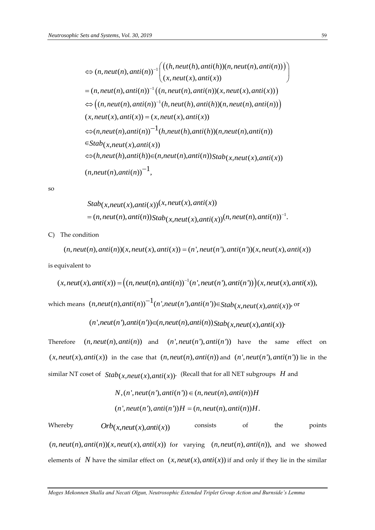$$
\Leftrightarrow (n,neut(n),anti(n))^{-1}\left(\left((h,neut(h),anti(h))(n,neut(n),anti(n))\right)\right)
$$
\n
$$
=(n,neut(n),anti(n))^{-1}\left((n,neut(n),anti(n))(x,neut(x),anti(x))\right)
$$
\n
$$
\Leftrightarrow \left((n,neut(n),anti(n))^{-1}(h,neut(h),anti(h))(n,neut(n),anti(n))\right)
$$
\n
$$
(x,neut(x),anti(x)) = (x,neut(x),anti(x))
$$
\n
$$
\Leftrightarrow (n,neut(n),anti(n))^{-1}(h,neut(h),anti(h))(n,neut(n),anti(n))
$$
\n
$$
\Leftrightarrow Stab(x,neut(x),anti(x))
$$
\n
$$
\Leftrightarrow (h,neut(h),anti(h)) \in (n,neut(n),anti(n)) Stab(x,neut(x),anti(x))
$$
\n
$$
(n,neut(n),anti(n))^{-1},
$$

so

$$
Stab(x,neut(x),anti(x))(x,neut(x),anti(x))
$$
  
=  $(n,neut(n),anti(n))Stab(x,neut(x),anti(x))(n,neut(n),anti(n))^{-1}$ .

C) The condition

$$
(n,neut(n),anti(n))(x,neut(x),anti(x)) = (n',neut(n'),anti(n'))(x,neut(x),anti(x))
$$

is equivalent to

$$
(x,neut(x),anti(x)) = ((n,neut(n),anti(n))^{-1}(n',neut(n'),anti(n')))(x,neut(x),anti(x)),
$$

which means  $(n,neut(n),anti(n))$ <sup>-1</sup> $(n',neut(n'),anti(n'))$  $\in$ Stab $(x,neut(x),anti(x))$ , or

$$
(n',\text{neut}(n'),\text{anti}(n')) \in (n,\text{neut}(n),\text{anti}(n))
$$
Stab $(x,\text{neut}(x),\text{anti}(x))$ 

Therefore  $(n, neut(n), anti(n))$  and  $(n', neut(n'), anti(n'))$  have the same effect on  $(x, neut(x),anti(x))$  in the case that  $(n, neut(n),anti(n))$  and  $(n', neut(n'),anti(n'))$  lie in the  $\sinh(x) = \sinh(x)$  is  $\sinh(x) = \sinh(x)$   $\sinh(x)$  (Recall that for all NET subgroups  $H$  and

$$
N,(n',neut(n'),anti(n')) \in (n,neut(n),anti(n))H
$$
  
\n $(n',neut(n'),anti(n'))H = (n,neut(n),anti(n))H.$ 

Whereby  $Orb(x, neut(x), anti(x))$ consists of the points  $(n, neut(n),anti(n))(x, neut(x),anti(x))$  for varying  $(n, neut(n),anti(n))$ , and we showed elements of N have the similar effect on  $(x, neut(x), anti(x))$  if and only if they lie in the similar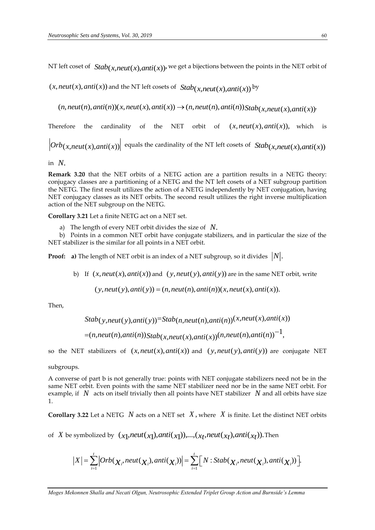NT left coset of  $\; Stab(\chi,neut(x),anti(x)),$  we get a bijections between the points in the NET orbit of

 $(x, neut(x), anti(x))$  and the NT left cosets of  $Stab(x, neut(x), anti(x))$ <sup>by</sup>

 $(n, neut(n), anti(n))(x, neut(x), anti(x)) \rightarrow (n, neut(n), anti(n)) Stab(x, neut(x), anti(x))$ 

Therefore the cardinality of the NET orbit of  $(x, \text{neut}(x), \text{anti}(x)),$  which is

 $Orb(x, neut(x),anti(x))$  equals the cardinality of the NT left cosets of  $Stab(x, neut(x),anti(x))$ 

in *N*.

**Remark 3.20** that the NET orbits of a NETG action are a partition results in a NETG theory: conjugacy classes are a partitioning of a NETG and the NT left cosets of a NET subgroup partition the NETG. The first result utilizes the action of a NETG independently by NET conjugation, having NET conjugacy classes as its NET orbits. The second result utilizes the right inverse multiplication action of the NET subgroup on the NETG.

**Corollary 3.21** Let a finite NETG act on a NET set.

a) The length of every NET orbit divides the size of *N*.

 b) Points in a common NET orbit have conjugate stabilizers, and in particular the size of the NET stabilizer is the similar for all points in a NET orbit.

**Proof:**  $\,$  **a)** The length of NET orbit is an index of a NET subgroup, so it divides  $\,|N|.$ 

b) If  $(x, neut(x),anti(x))$  and  $(y, neut(y),anti(y))$  are in the same NET orbit, write

 $(y, neut(y),anti(y)) = (n, neut(n), anti(n))(x, neut(x), anti(x)).$ 

Then,

$$
Stab(y,neut(y),anti(y)) = Stab(n,neut(n),anti(n))(x,neut(x),anti(x))
$$
  
= $(n,neut(n),anti(n))Stab(x,neut(x),anti(x))(n,neut(n),anti(n))^{-1},$ 

so the NET stabilizers of  $(x, neut(x),anti(x))$  and  $(y, neut(y),anti(y))$  are conjugate NET

subgroups.

A converse of part b is not generally true: points with NET conjugate stabilizers need not be in the same NET orbit. Even points with the same NET stabilizer need nor be in the same NET orbit. For example, if  $\ N$  acts on itself trivially then all points have NET stabilizer  $\ N$  and all orbits have size 1.

**Corollary 3.22** Let a NETG  $N$  acts on a NET set  $X$ , where  $X$  is finite. Let the distinct NET orbits

of  $X$  be symbolized by  $(x_1, \text{neut}(x_1), \text{anti}(x_1)), ..., (x_t, \text{neut}(x_t), \text{anti}(x_t)).$  Then

$$
|X| = \sum_{i=1}^{t} |Orb(\chi_{i},neut(\chi_{i}),anti(\chi_{i}))| = \sum_{i=1}^{t} [N:Stab(\chi_{i},neut(\chi_{i}),anti(\chi_{i}))].
$$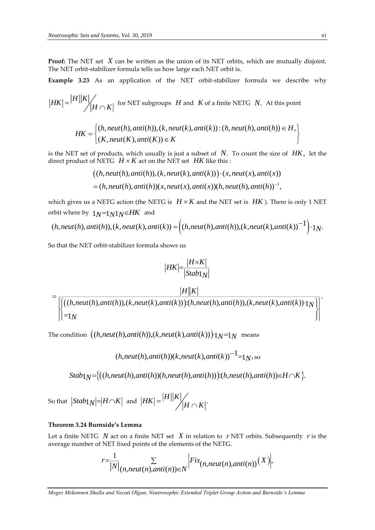**Proof:** The NET set X can be written as the union of its NET orbits, which are mutually disjoint. The NET orbit-stabilizer formula tells us how large each NET orbit is.

**Example 3.23** As an application of the NET orbit-stabilizer formula we describe why

$$
|HK| = \frac{|H||K|}{\sqrt{|H \cap K|}}
$$
 for NET subgroups *H* and *K* of a finite NETG *N*. At this point

$$
HK = \begin{cases} (h,neut(h),anti(h)), (k,neut(k),anti(k)) : (h,neut(h),anti(h)) \in H, \\ (K,neut(K),anti(K)) \in K \end{cases}
$$

is the NET set of products, which usually is just a subset of *N*. To count the size of *HK*, let the direct product of NETG  $\,H \times K$  act on the NET set  $\,$  *HK* like this :

$$
((h,neut(h),anti(h)), (k,neut(k),anti(k))) \cdot (x,neut(x),anti(x))
$$
  
= (h,neut(h),anti(h))(x,neut(x),anti(x))(h,neut(h),anti(h))<sup>-1</sup>,

which gives us a NETG action (the NETG is  $H \times K$  and the NET set is  $HK$  ). There is only 1 NET orbit where by  $1_N=1_N1_N\in HK$  and

$$
(h,neut(h),anti(h)), (k,neut(k),anti(k)) = \left( (h,neut(h),anti(h)), (k,neut(k),anti(k))^{-1} \right) \cdot 1_N.
$$

So that the NET orbit-stabilizer formula shows us

$$
|HK| = \frac{|H \times K|}{|Stab1_N|}
$$

 $\bigl((h,neut(h),anti(h)),(k,neut(k),anti(k))\bigr)$ : $(h,neut(h),anti(h)),(k,neut(k),anti(k))\cdot 1$ 1  $h,$ neut(h),anti(h)),(k,neut(k),anti(k))):(h,neut(h),anti(h)),(k,neut(k),anti(k))·1 $_{\it N}$ *N*  $=\frac{1}{\left|\left((h,neut(h),anti(h)),(k,neut(k),anti(k))\right):(h,neut(h),anti(h)),(k,neut(k),anti(k))\cdot 1_N\right|}$ 

*H K*

The condition  $\bigl((h,neut(h),anti(h)),(k,neut(k),anti(k))\bigr){:}{1}{N}$ =1 $N$  means

$$
(h,neut(h),anti(h))(k,neut(k),anti(k))^{-1} = 1_N
$$
, so

 $Stab<sub>1</sub>N = \{(h,neut(h),anti(h))(h,neut(h),anti(h))\}: (h,neut(h),anti(h)) \in H \cap K\}.$ 

So that  $\left| \frac{Stab_1}{N} \right| = \left| H \cap K \right|$  and  $\left| HK \right| = \frac{|H||K|}{M \cap K!}.$  $=$   $\mathcal{A}H \cap$ 

# **Theorem 3.24 Burnside's Lemma**

Let a finite NETG  $N$  act on a finite NET set  $X$  in relation to  $r$  NET orbits. Subsequently  $r$  is the average number of NET fixed points of the elements of the NETG.

$$
r=\frac{1}{|N|}\sum_{(n,neut(n),anti(n))\in N}|Fix_{(n,neut(n),anti(n))}(X)|,
$$

*Moges Mekonnen Shalla and Necati Olgun, Neutrosophic Extended Triplet Group Action and Burnside's Lemma*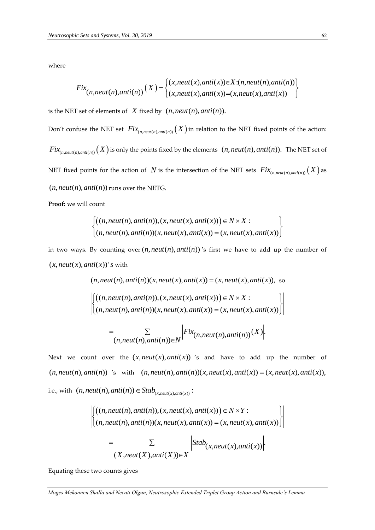where

Fix
$$
Fix_{(n,neut(n),anti(n))}(X) = \begin{cases} (x,neut(x),anti(x)) \in X:(n,neut(n),anti(n)) \\ (x,neut(x),anti(x)) = (x,neut(x),anti(x)) \end{cases}
$$

is the NET set of elements of  $X$  fixed by  $(n, neut(n), anti(n)).$ 

Don't confuse the NET set  $Fix_{(n,neut(n),anti(n))}(X)$  in relation to the NET fixed points of the action:  $Fix_{(n,neut(n),anti(n))}(X)$  is only the points fixed by the elements  $(n,neut(n),anti(n))$ . The NET set of NET fixed points for the action of  $N$  is the intersection of the NET sets  $Fix_{(n,neut(n),anti(n))}(X)$  as  $(n, neut(n), anti(n))$  runs over the NETG.

**Proof:** we will count

$$
\begin{cases}\n((n,neut(n),anti(n)), (x,neut(x),anti(x))) \in N \times X: \\
(n,neut(n),anti(n))(x,neut(x),anti(x)) = (x,neut(x),anti(x))\n\end{cases}
$$

in two ways. By counting over  $(n,neut(n),anti(n))$ 's first we have to add up the number of  $(x, \text{neut}(x), \text{anti}(x))$ 's with

$$
(n,neut(n),anti(n))(x,neut(x),anti(x)) = (x,neut(x),anti(x)), so
$$
\n
$$
\left| \left( (n,neut(n),anti(n)), (x,neut(x),anti(x)) \right) \in N \times X : \left| \left( (n,neut(n),anti(n))(x,neut(x),anti(x)) \right) \in N \times X : \left| \left( (n,neut(n),anti(n))(x,neut(x),anti(x)) \right) \right| \right|
$$
\n
$$
= \sum_{(n,neut(n),anti(n)) \in N} \left| Fix_{(n,neut(n),anti(n))}(X) \right|.
$$

Next we count over the  $(x, \text{neut}(x), \text{anti}(x))$  's and have to add up the number of  $(n, neut(n), anti(n))$  's with *neut*(*x*), *anti*(*x*)) 's and have to add up the number of  $(n, \text{neut}(n), \text{anti}(n))$   $(x, \text{neut}(x), \text{anti}(x)) = (x, \text{neut}(x), \text{anti}(x))$ , i.e., with  $(n, neut(n),anti(n)) \in Stab_{(x,neut(x),anti(x))}$ :

$$
\left| \begin{aligned} \left( (n, neut(n), anti(n)), (x, neut(x), anti(x)) \right) & \in N \times Y : \\ \left( (n, neut(n), anti(n)), (x, neut(x), anti(x)) = (x, neut(x), anti(x)) \right) \end{aligned} \right|
$$
\n
$$
= \sum_{(X, neut(X), anti(X)) \in X} \left| \frac{Stab_{(X, neut(x), anti(x))} \right|.
$$

Equating these two counts gives

*Moges Mekonnen Shalla and Necati Olgun, Neutrosophic Extended Triplet Group Action and Burnside's Lemma*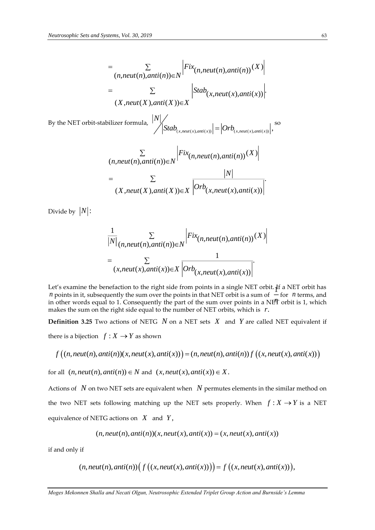$$
= \sum_{(n,neut(n),anti(n)) \in N} |Fix_{(n,neut(n),anti(n))}(X)|
$$
  

$$
= \sum_{(X,neut(X),anti(X)) \in X} |Stab_{(x,neut(x),anti(x))}|.
$$

By the NET orbit-stabilizer formula, ( , ( ), ( )) ( , ( ), ( )) , *<sup>x</sup> neut <sup>x</sup> anti <sup>x</sup> <sup>x</sup> neut <sup>x</sup> anti <sup>x</sup> N*  $\left| \int_{S}$  *Stab*  $\left| \int_{S}$   $\left| \int_{S}$   $\right| \right|$   $=$   $\left| \int_{S}$   $\left| \int_{S}$   $\left| \int_{S}$   $\right| \right|$   $\left| \int_{S}$   $\left| \int_{S}$   $\left| \int_{S}$   $\left| \int_{S}$   $\left| \int_{S}$   $\left| \int_{S} \right| \right| \right|$   $\left| \int_{S} \right|$   $\left| \int_{S} \right|$   $\left| \int_{S} \right|$   $\left| \int_{S}$ 

$$
\sum_{(n,neut(n),anti(n)) \in N} |Fix_{(n,neut(n),anti(n))}(X)|
$$
  
= 
$$
\sum_{(X,neut(X),anti(X)) \in X} |Orb_{(x,neut(x),anti(x))}|
$$

Divide by  $|N|$ :

$$
\frac{1}{|N|} \sum_{(n,neut(n),anti(n)) \in N} |Fix_{(n,neut(n),anti(n))}(X)|
$$
  
= 
$$
\sum_{(x,neut(x),anti(x)) \in X} \frac{1}{|Orb_{(x,neut(x),anti(x))}|}.
$$

Let's examine the benefaction to the right side from points in a single NET orbit. If a NET orbit has *n* points in it, subsequently the sum over the points in that NET orbit is a sum of  $\overline{\phantom{a}}$  for *n* terms, and *n* in other words equal to 1. Consequently the part of the sum over points in a NET orbit is 1, which makes the sum on the right side equal to the number of NET orbits, which is *r*.

**Definition 3.25** Two actions of NETG N on a NET sets X and Y are called NET equivalent if there is a bijection  $f: X \rightarrow Y$  as shown

$$
f\big((n,neut(n),anti(n))(x,neut(x),anti(x))\big)=(n,neut(n),anti(n))f\big((x,neut(x),anti(x))\big)
$$

for all  $(n,neut(n),anti(n)) \in N$  and  $(x,neut(x),anti(x)) \in X$ .

 $=\sum_{(n, newIf(X),ant(f)) \in N} \left| F(x_{(n,real(f),ant(f)))}(X) \right|$ <br> **Moges Mekonnen Shalla and Necative Group Action and Burnside's Lemma (Action and Action and Action and Action and Action and Burnside's Lemma (***D***) (***N***,** *Metut(A)***, and (P(x\_{(n** Actions of  $\,N\,$  on two NET sets are equivalent when  $\,N\,$  permutes elements in the similar method on the two NET sets following matching up the NET sets properly. When  $f: X \rightarrow Y$  is a NET equivalence of NETG actions on  $|X|$  and  $|Y|$ ,

$$
(n,neut(n),anti(n))(x,neut(x),anti(x)) = (x,neut(x),anti(x))
$$

if and only if

$$
(n,neut(n),anti(n))\Big(f\big((x,neut(x),anti(x))\big)\Big)=f\big((x,neut(x),anti(x))\big),
$$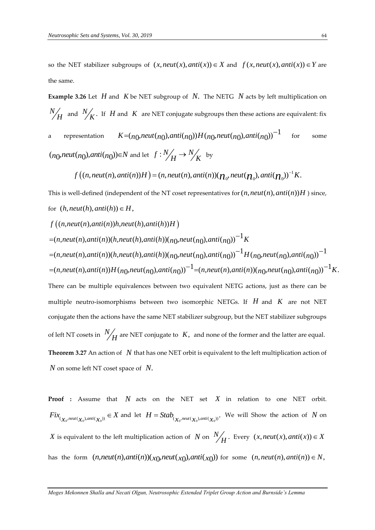so the NET stabilizer subgroups of  $(x, neut(x),anti(x)) \in X$  and  $f(x, neut(x),anti(x)) \in Y$  are the same.

**Example 3.26** Let  $H$  and  $K$  be NET subgroup of  $N$ . The NETG  $N$  acts by left multiplication on *N*  $H$  and  $N_{\overline{K}}$ . If  $H$  and  $K$  are NET conjugate subgroups then these actions are equivalent: fix a representation  $K = (n_0,neut(n_0),anti(n_0))H(n_0,neut(n_0),anti(n_0))^{-1}$ for some  $(n_0, \textit{neut}(n_0), \textit{anti}(n_0)) \in N$  and let  $f: \frac{N}{H} \rightarrow \frac{N}{K}$  by

 $f\big((n,neut(n),anti(n))H\big)=(n,neut(n),anti(n))(\boldsymbol{\mathcal{H}}_0,neut(\boldsymbol{\mathcal{H}}_0),anti(\boldsymbol{\mathcal{H}}_0))^{-1}K.$ 

This is well-defined (independent of the NT coset representatives for  $(n, neut(n),anti(n))H$  ) since, for  $(h, \text{neut}(h), \text{anti}(h)) \in H$ ,

$$
f((n,neut(n),anti(n))h,neut(h),anti(h))H)
$$
  
= $(n,neut(n),anti(n))(h,neut(h),anti(h))(\frac{n}{n},neut(n_0),anti(n_0))^{-1}K$   
= $(n,neut(n),anti(n))(h,neut(h),anti(h))(\frac{n}{n},neut(n_0),anti(n_0))^{-1}H(\frac{n}{n},neut(n_0),anti(n_0))^{-1}K$ .  
= $(n,neut(n),anti(n))H(\frac{n}{n},neut(n_0),anti(n_0))^{-1}=(n,neut(n),anti(n))(\frac{n}{n},neut(n_0),anti(n_0))^{-1}K$ .  
There can be multiple equivalences between two equivalent NETG actions, just as there can be multiple neutro-isomorphisms between two isomorphic NETGs. If *H* and *K* are not NET conjugate then the actions have the same NET stabilizer subgroup, but the NET stabilizer subgroups of left NT cosets in  $\frac{N}{H}$  are NET conjugate to *K*, and none of the former and the latter are equal.  
Theorem 3.27 An action of *N* that has one NET orbit is equivalent to the left multiplication action of *N* on some left NT coset space of *N*.

**Proof :** Assume that *N* acts on the NET set *X* in relation to one NET orbit.  $Fix_{(\chi_0^{n,\text{neut}}(\chi_0),\text{anti}(\chi_0))} \in X$  and let  $H = Stab_{(\chi_0^{n,\text{neut}}(\chi_0),\text{anti}(\chi_0))}$ . We will Show the action of N on X is equivalent to the left multiplication action of  $N$  on  $\frac{N}{2}$  $H$  · Every  $(x, \text{neut}(x), \text{anti}(x)) \in X$ has the form  $(n,neut(n),anti(n))(x_0,neut(x_0),anti(x_0))$  for some  $(n,neut(n),anti(n)) \in N$ ,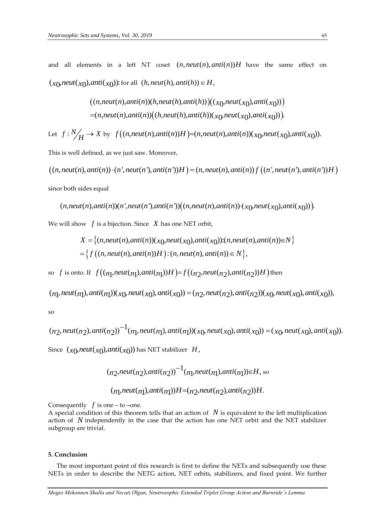and all elements in a left NT coset  $(n, neutr(n), anti(n))H$  have the same effect on  $(x_0, \text{neut}(x_0), \text{anti}(x_0))$ : for all  $(h, \text{neut}(h), \text{anti}(h)) \in H$ ,

$$
((n,neut(n),anti(n))(h,neut(h),anti(h)))(x_0,neut(x_0),anti(x_0)))
$$
  
=
$$
(n,neut(n),anti(n))((h,neut(h),anti(h))(x_0,neut(x_0),anti(x_0))).
$$

Let 
$$
f: \frac{N}{H} \to X
$$
 by  $f((n,neut(n),anti(n))H) = (n,neut(n),anti(n))(x_0,neut(x_0),anti(x_0)).$ 

This is well defined, as we just saw. Moreover,

 $((n,neut(n),anti(n))\cdot (n',neut(n'),anti(n'))H) = (n,neut(n),anti(n))f((n',neut(n'),anti(n'))H)$ since both sides equal

$$
(n,neut(n),anti(n))(n',neut(n'),anti(n'))((n,neut(n),anti(n))\cdot(x_0,neut(x_0),anti(x_0))).
$$

We will show  $\ f$  is a bijection. Since  $\ X$  has one NET orbit,

ow *f* is a bijection. Since *X* has one NET orbit,  
\n
$$
X = \{(n,neut(n),anti(n))(x_0,neut(x_0),anti(x_0)):(n,neut(n),anti(n))\in N\}
$$
\n
$$
= \{f((n,neut(n),anti(n))H):(n,neut(n),anti(n))\in N\},
$$

so f is onto. If  $f((n_1,neut(n_1),anti(n_1))H)=f((n_2,neut(n_2),anti(n_2))H)$  then

$$
(n_1,neut(n_1),anti(n_1))(x_0,neut(x_0),anti(x_0)) = (n_2,neut(n_2),anti(n_2))(x_0,neut(x_0),anti(x_0)),
$$

so

$$
(n_2,neut(n_2),anti(n_2))^{-1}(n_1,neut(n_1),anti(n_1))(x_0,neut(x_0),anti(x_0)) = (x_0,neut(x_0),anti(x_0)).
$$
  
Since  $(x_0,neut(x_0),anti(x_0))$  has NET stabilizer  $H$ ,

$$
(n_2,neut(n_2),anti(n_2))^{-1}(n_1,neut(n_1),anti(n_1)) \in H
$$
, so  
 $(n_1,neut(n_1),anti(n_1))H = (n_2,neut(n_2),anti(n_2))H$ .

Consequently  $f$  is one – to –one.

A special condition of this theorem tells that an action of *N* is equivalent to the left multiplication action of *N* independently in the case that the action has one NET orbit and the NET stabilizer subgroup are trivial.

#### **5. Conclusion**

 The most important point of this research is first to define the NETs and subsequently use these NETs in order to describe the NETG action, NET orbits, stabilizers, and fixed point. We further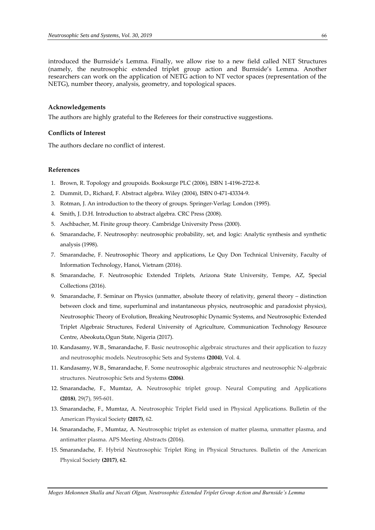introduced the Burnside's Lemma. Finally, we allow rise to a new field called NET Structures (namely, the neutrosophic extended triplet group action and Burnside's Lemma. Another researchers can work on the application of NETG action to NT vector spaces (representation of the NETG), number theory, analysis, geometry, and topological spaces.

#### **Acknowledgements**

The authors are highly grateful to the Referees for their constructive suggestions.

### **Conflicts of Interest**

The authors declare no conflict of interest.

# **References**

- 1. Brown, R. Topology and groupoids. Booksurge PLC (2006), ISBN 1-4196-2722-8.
- 2. Dummit, D., Richard, F. Abstract algebra. Wiley (2004), ISBN 0-471-43334-9.
- 3. Rotman, J. An introduction to the theory of groups. Springer-Verlag: London (1995).
- 4. Smith, J. D.H. Introduction to abstract algebra. CRC Press (2008).
- 5. Aschbacher, M. Finite group theory. Cambridge University Press (2000).
- 6. Smarandache, F. Neutrosophy: neutrosophic probability, set, and logic: Analytic synthesis and synthetic analysis (1998).
- 7. Smarandache, F. Neutrosophic Theory and applications, Le Quy Don Technical University, Faculty of Information Technology, Hanoi, Vietnam (2016).
- 8. Smarandache, F. Neutrosophic Extended Triplets, Arizona State University, Tempe, AZ, Special Collections (2016).
- 9. Smarandache, F. Seminar on Physics (unmatter, absolute theory of relativity, general theory distinction between clock and time, superluminal and instantaneous physics, neutrosophic and paradoxist physics), Neutrosophic Theory of Evolution, Breaking Neutrosophic Dynamic Systems, and Neutrosophic Extended Triplet Algebraic Structures, Federal University of Agriculture, Communication Technology Resource Centre, Abeokuta,Ogun State, Nigeria (2017).
- 10. Kandasamy, W.B., Smarandache, F. Basic neutrosophic algebraic structures and their application to fuzzy and neutrosophic models. Neutrosophic Sets and Systems **(2004)**, Vol. 4.
- 11. Kandasamy, W.B., Smarandache, F. Some neutrosophic algebraic structures and neutrosophic N-algebraic structures. Neutrosophic Sets and Systems **(2006)**.
- 12. Smarandache, F., Mumtaz, A. Neutrosophic triplet group. Neural Computing and Applications **(2018)**, 29(7), 595-601.
- 13. Smarandache, F., Mumtaz, A. Neutrosophic Triplet Field used in Physical Applications. Bulletin of the American Physical Society **(2017)**, 62.
- 14. Smarandache, F., Mumtaz, A. Neutrosophic triplet as extension of matter plasma, unmatter plasma, and antimatter plasma. APS Meeting Abstracts (2016).
- 15. Smarandache, F. Hybrid Neutrosophic Triplet Ring in Physical Structures. Bulletin of the American Physical Society **(2017)**, **62**.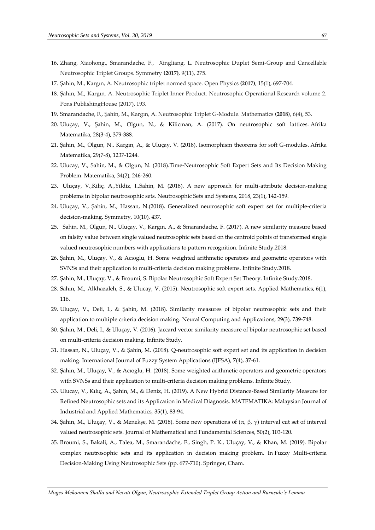- 16. Zhang, Xiaohong., Smarandache, F., Xingliang, L. Neutrosophic Duplet Semi-Group and Cancellable Neutrosophic Triplet Groups. Symmetry **(2017)**, 9(11), 275.
- 17. Şahin, M., Kargın, A. Neutrosophic triplet normed space. Open Physics **(2017)**, 15(1), 697-704.
- 18. Şahin, M., Kargın, A. Neutrosophic Triplet Inner Product. Neutrosophic Operational Research volume 2. Pons PublishingHouse (2017), 193.
- 19. Smarandache, F., Şahin, M., Kargın, A. Neutrosophic Triplet G-Module. Mathematics **(2018)**, 6(4), 53.
- 20. Uluçay, V., Şahin, M., Olgun, N., & Kilicman, A. (2017). On neutrosophic soft lattices. Afrika Matematika, 28(3-4), 379-388.
- 21. Şahin, M., Olgun, N., Kargın, A., & Uluçay, V. (2018). Isomorphism theorems for soft G-modules. Afrika Matematika, 29(7-8), 1237-1244.
- 22. Ulucay, V., Sahin, M., & Olgun, N. (2018).Time-Neutrosophic Soft Expert Sets and Its Decision Making Problem. Matematika, 34(2), 246-260.
- 23. Uluçay, V.,Kiliç, A.,Yildiz, I.,Sahin, M. (2018). A new approach for multi-attribute decision-making problems in bipolar neutrosophic sets. Neutrosophic Sets and Systems, 2018, 23(1), 142-159.
- 24. Uluçay, V., Şahin, M., Hassan, N.(2018). Generalized neutrosophic soft expert set for multiple-criteria decision-making. Symmetry, 10(10), 437.
- 25. Sahin, M., Olgun, N., Uluçay, V., Kargın, A., & Smarandache, F. (2017). A new similarity measure based on falsity value between single valued neutrosophic sets based on the centroid points of transformed single valued neutrosophic numbers with applications to pattern recognition. Infinite Study.2018.
- 26. Şahin, M., Uluçay, V., & Acıoglu, H. Some weighted arithmetic operators and geometric operators with SVNSs and their application to multi-criteria decision making problems. Infinite Study.2018.
- 27. Şahin, M., Uluçay, V., & Broumi, S. Bipolar Neutrosophic Soft Expert Set Theory. Infinite Study.2018.
- 28. Sahin, M., Alkhazaleh, S., & Ulucay, V. (2015). Neutrosophic soft expert sets. Applied Mathematics, 6(1), 116.
- 29. Uluçay, V., Deli, I., & Şahin, M. (2018). Similarity measures of bipolar neutrosophic sets and their application to multiple criteria decision making. Neural Computing and Applications, 29(3), 739-748.
- 30. Şahin, M., Deli, I., & Uluçay, V. (2016). Jaccard vector similarity measure of bipolar neutrosophic set based on multi-criteria decision making. Infinite Study.
- 31. Hassan, N., Uluçay, V., & Şahin, M. (2018). Q-neutrosophic soft expert set and its application in decision making. International Journal of Fuzzy System Applications (IJFSA), 7(4), 37-61.
- 32. Şahin, M., Uluçay, V., & Acıoglu, H. (2018). Some weighted arithmetic operators and geometric operators with SVNSs and their application to multi-criteria decision making problems. Infinite Study.
- 33. Ulucay, V., Kılıç, A., Şahin, M., & Deniz, H. (2019). A New Hybrid Distance-Based Similarity Measure for Refined Neutrosophic sets and its Application in Medical Diagnosis. MATEMATIKA: Malaysian Journal of Industrial and Applied Mathematics, 35(1), 83-94.
- 34. Şahin, M., Uluçay, V., & Menekşe, M. (2018). Some new operations of  $(α, β, γ)$  interval cut set of interval valued neutrosophic sets. Journal of Mathematical and Fundamental Sciences, 50(2), 103-120.
- 35. Broumi, S., Bakali, A., Talea, M., Smarandache, F., Singh, P. K., Uluçay, V., & Khan, M. (2019). Bipolar complex neutrosophic sets and its application in decision making problem. In Fuzzy Multi-criteria Decision-Making Using Neutrosophic Sets (pp. 677-710). Springer, Cham.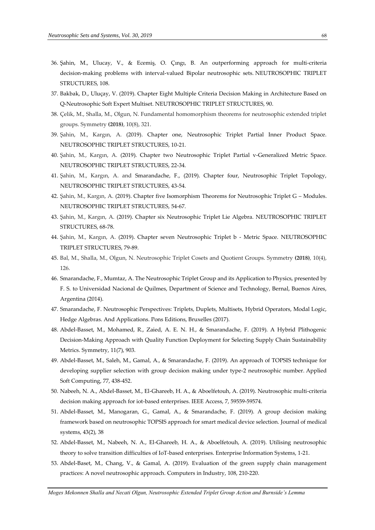- 36. Şahin, M., Ulucay, V., & Ecemiş, O. Çıngı, B. An outperforming approach for multi-criteria decision-making problems with interval-valued Bipolar neutrosophic sets. NEUTROSOPHIC TRIPLET STRUCTURES, 108.
- 37. Bakbak, D., Uluçay, V. (2019). Chapter Eight Multiple Criteria Decision Making in Architecture Based on Q-Neutrosophic Soft Expert Multiset. NEUTROSOPHIC TRIPLET STRUCTURES, 90.
- 38. Çelik, M., Shalla, M., Olgun, N. Fundamental homomorphism theorems for neutrosophic extended triplet groups. Symmetry **(2018)**, 10(8), 321.
- 39. Şahin, M., Kargın, A. (2019). Chapter one, Neutrosophic Triplet Partial Inner Product Space. NEUTROSOPHIC TRIPLET STRUCTURES, 10-21.
- 40. Şahin, M., Kargın, A. (2019). Chapter two Neutrosophic Triplet Partial v-Generalized Metric Space. NEUTROSOPHIC TRIPLET STRUCTURES, 22-34.
- 41. Şahin, M., Kargın, A. and Smarandache, F., (2019). Chapter four, Neutrosophic Triplet Topology, NEUTROSOPHIC TRIPLET STRUCTURES, 43-54.
- 42. Şahin, M., Kargın, A. (2019). Chapter five Isomorphism Theorems for Neutrosophic Triplet G Modules. NEUTROSOPHIC TRIPLET STRUCTURES, 54-67.
- 43. Şahin, M., Kargın, A. (2019). Chapter six Neutrosophic Triplet Lie Algebra. NEUTROSOPHIC TRIPLET STRUCTURES, 68-78.
- 44. Şahin, M., Kargın, A. (2019). Chapter seven Neutrosophic Triplet b Metric Space. NEUTROSOPHIC TRIPLET STRUCTURES, 79-89.
- 45. Bal, M., Shalla, M., Olgun, N. Neutrosophic Triplet Cosets and Quotient Groups. Symmetry **(2018)**, 10(4), 126.
- 46. Smarandache, F., Mumtaz, A. The Neutrosophic Triplet Group and its Application to Physics, presented by F. S. to Universidad Nacional de Quilmes, Department of Science and Technology, Bernal, Buenos Aires, Argentina (2014).
- 47. Smarandache, F. Neutrosophic Perspectives: Triplets, Duplets, Multisets, Hybrid Operators, Modal Logic, Hedge Algebras. And Applications. Pons Editions, Bruxelles (2017).
- 48. Abdel-Basset, M., Mohamed, R., Zaied, A. E. N. H., & Smarandache, F. (2019). A Hybrid Plithogenic Decision-Making Approach with Quality Function Deployment for Selecting Supply Chain Sustainability Metrics. Symmetry, 11(7), 903.
- 49. Abdel-Basset, M., Saleh, M., Gamal, A., & Smarandache, F. (2019). An approach of TOPSIS technique for developing supplier selection with group decision making under type-2 neutrosophic number. Applied Soft Computing, 77, 438-452.
- 50. Nabeeh, N. A., Abdel-Basset, M., El-Ghareeb, H. A., & Aboelfetouh, A. (2019). Neutrosophic multi-criteria decision making approach for iot-based enterprises. IEEE Access, 7, 59559-59574.
- 51. Abdel-Basset, M., Manogaran, G., Gamal, A., & Smarandache, F. (2019). A group decision making framework based on neutrosophic TOPSIS approach for smart medical device selection. Journal of medical systems, 43(2), 38
- 52. Abdel-Basset, M., Nabeeh, N. A., El-Ghareeb, H. A., & Aboelfetouh, A. (2019). Utilising neutrosophic theory to solve transition difficulties of IoT-based enterprises. Enterprise Information Systems, 1-21.
- 53. Abdel-Baset, M., Chang, V., & Gamal, A. (2019). Evaluation of the green supply chain management practices: A novel neutrosophic approach. Computers in Industry, 108, 210-220.

*Moges Mekonnen Shalla and Necati Olgun, Neutrosophic Extended Triplet Group Action and Burnside's Lemma*